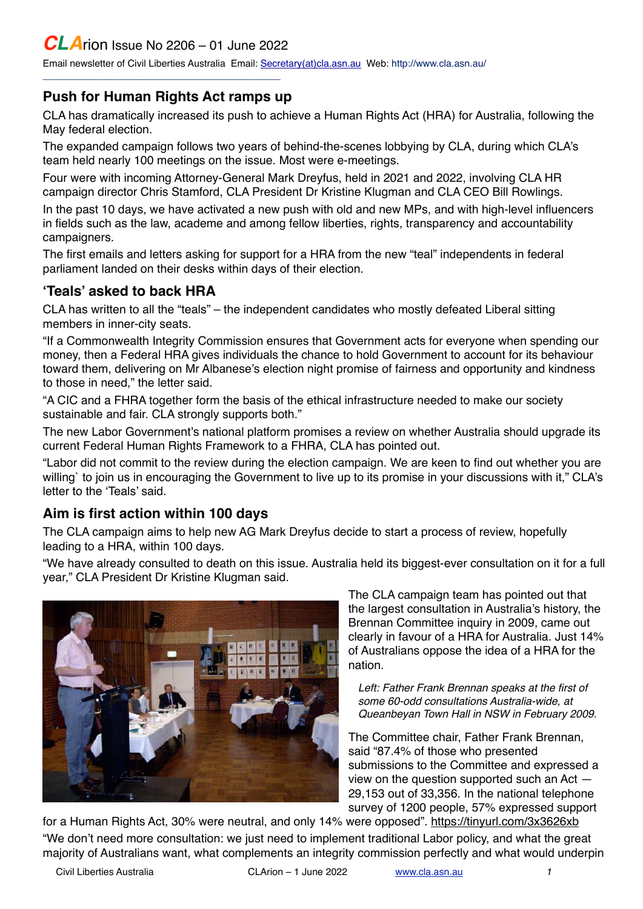# *CLA*rion Issue No 2206 – 01 June 2022

\_\_\_\_\_\_\_\_\_\_\_\_\_\_\_\_\_\_\_\_\_\_\_\_\_\_\_\_\_\_\_\_\_\_\_\_\_\_\_\_\_\_\_\_

Email newsletter of Civil Liberties Australia Email: [Secretary\(at\)cla.asn.au](mailto:secretary@cla.asn.au?subject=email%20subject) Web: [http://www.cla.asn.au/](http://www.cla.asn.au)

#### **Push for Human Rights Act ramps up**

CLA has dramatically increased its push to achieve a Human Rights Act (HRA) for Australia, following the May federal election.

The expanded campaign follows two years of behind-the-scenes lobbying by CLA, during which CLA's team held nearly 100 meetings on the issue. Most were e-meetings.

Four were with incoming Attorney-General Mark Dreyfus, held in 2021 and 2022, involving CLA HR campaign director Chris Stamford, CLA President Dr Kristine Klugman and CLA CEO Bill Rowlings.

In the past 10 days, we have activated a new push with old and new MPs, and with high-level influencers in fields such as the law, academe and among fellow liberties, rights, transparency and accountability campaigners.

The first emails and letters asking for support for a HRA from the new "teal" independents in federal parliament landed on their desks within days of their election.

### **'Teals' asked to back HRA**

CLA has written to all the "teals" – the independent candidates who mostly defeated Liberal sitting members in inner-city seats.

"If a Commonwealth Integrity Commission ensures that Government acts for everyone when spending our money, then a Federal HRA gives individuals the chance to hold Government to account for its behaviour toward them, delivering on Mr Albanese's election night promise of fairness and opportunity and kindness to those in need," the letter said.

"A CIC and a FHRA together form the basis of the ethical infrastructure needed to make our society sustainable and fair. CLA strongly supports both."

The new Labor Government's national platform promises a review on whether Australia should upgrade its current Federal Human Rights Framework to a FHRA, CLA has pointed out.

"Labor did not commit to the review during the election campaign. We are keen to find out whether you are willing' to join us in encouraging the Government to live up to its promise in your discussions with it," CLA's letter to the 'Teals' said.

# **Aim is first action within 100 days**

The CLA campaign aims to help new AG Mark Dreyfus decide to start a process of review, hopefully leading to a HRA, within 100 days.

"We have already consulted to death on this issue. Australia held its biggest-ever consultation on it for a full year," CLA President Dr Kristine Klugman said.



The CLA campaign team has pointed out that the largest consultation in Australia's history, the Brennan Committee inquiry in 2009, came out clearly in favour of a HRA for Australia. Just 14% of Australians oppose the idea of a HRA for the nation.

*Left: Father Frank Brennan speaks at the first of some 60-odd consultations Australia-wide, at Queanbeyan Town Hall in NSW in February 2009.*

The Committee chair, Father Frank Brennan, said "87.4% of those who presented submissions to the Committee and expressed a view on the question supported such an Act — 29,153 out of 33,356. In the national telephone survey of 1200 people, 57% expressed support

for a Human Rights Act, 30% were neutral, and only 14% were opposed".<https://tinyurl.com/3x3626xb> "We don't need more consultation: we just need to implement traditional Labor policy, and what the great majority of Australians want, what complements an integrity commission perfectly and what would underpin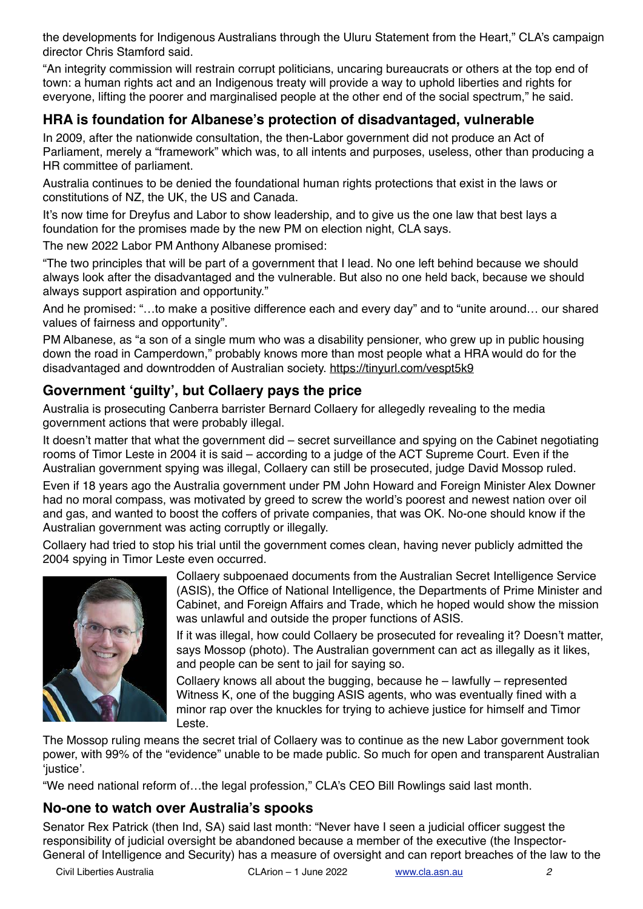the developments for Indigenous Australians through the Uluru Statement from the Heart," CLA's campaign director Chris Stamford said.

"An integrity commission will restrain corrupt politicians, uncaring bureaucrats or others at the top end of town: a human rights act and an Indigenous treaty will provide a way to uphold liberties and rights for everyone, lifting the poorer and marginalised people at the other end of the social spectrum," he said.

# **HRA is foundation for Albanese's protection of disadvantaged, vulnerable**

In 2009, after the nationwide consultation, the then-Labor government did not produce an Act of Parliament, merely a "framework" which was, to all intents and purposes, useless, other than producing a HR committee of parliament.

Australia continues to be denied the foundational human rights protections that exist in the laws or constitutions of NZ, the UK, the US and Canada.

It's now time for Dreyfus and Labor to show leadership, and to give us the one law that best lays a foundation for the promises made by the new PM on election night, CLA says.

The new 2022 Labor PM Anthony Albanese promised:

"The two principles that will be part of a government that I lead. No one left behind because we should always look after the disadvantaged and the vulnerable. But also no one held back, because we should always support aspiration and opportunity."

And he promised: "…to make a positive difference each and every day" and to "unite around… our shared values of fairness and opportunity".

PM Albanese, as "a son of a single mum who was a disability pensioner, who grew up in public housing down the road in Camperdown," probably knows more than most people what a HRA would do for the disadvantaged and downtrodden of Australian society. <https://tinyurl.com/vespt5k9>

# **Government 'guilty', but Collaery pays the price**

Australia is prosecuting Canberra barrister Bernard Collaery for allegedly revealing to the media government actions that were probably illegal.

It doesn't matter that what the government did – secret surveillance and spying on the Cabinet negotiating rooms of Timor Leste in 2004 it is said – according to a judge of the ACT Supreme Court. Even if the Australian government spying was illegal, Collaery can still be prosecuted, judge David Mossop ruled.

Even if 18 years ago the Australia government under PM John Howard and Foreign Minister Alex Downer had no moral compass, was motivated by greed to screw the world's poorest and newest nation over oil and gas, and wanted to boost the coffers of private companies, that was OK. No-one should know if the Australian government was acting corruptly or illegally.

Collaery had tried to stop his trial until the government comes clean, having never publicly admitted the 2004 spying in Timor Leste even occurred.



Collaery subpoenaed documents from the Australian Secret Intelligence Service (ASIS), the Office of National Intelligence, the Departments of Prime Minister and Cabinet, and Foreign Affairs and Trade, which he hoped would show the mission was unlawful and outside the proper functions of ASIS.

If it was illegal, how could Collaery be prosecuted for revealing it? Doesn't matter, says Mossop (photo). The Australian government can act as illegally as it likes, and people can be sent to jail for saying so.

Collaery knows all about the bugging, because he – lawfully – represented Witness K, one of the bugging ASIS agents, who was eventually fined with a minor rap over the knuckles for trying to achieve justice for himself and Timor Leste.

The Mossop ruling means the secret trial of Collaery was to continue as the new Labor government took power, with 99% of the "evidence" unable to be made public. So much for open and transparent Australian 'justice'.

"We need national reform of…the legal profession," CLA's CEO Bill Rowlings said last month.

# **No-one to watch over Australia's spooks**

Senator Rex Patrick (then Ind, SA) said last month: "Never have I seen a judicial officer suggest the responsibility of judicial oversight be abandoned because a member of the executive (the Inspector-General of Intelligence and Security) has a measure of oversight and can report breaches of the law to the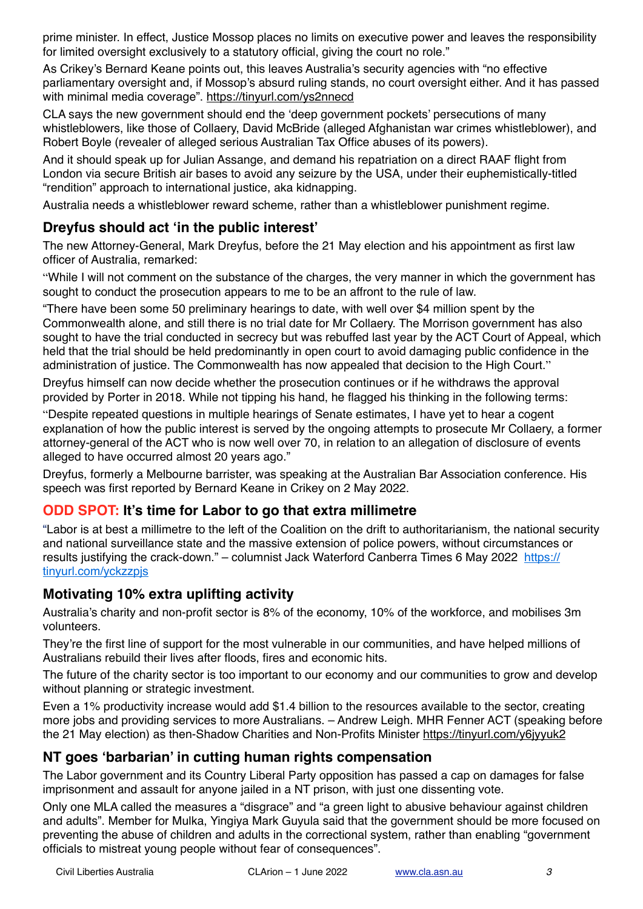prime minister. In effect, Justice Mossop places no limits on executive power and leaves the responsibility for limited oversight exclusively to a statutory official, giving the court no role."

As Crikey's Bernard Keane points out, this leaves Australia's security agencies with "no effective parliamentary oversight and, if Mossop's absurd ruling stands, no court oversight either. And it has passed with minimal media coverage".<https://tinyurl.com/ys2nnecd>

CLA says the new government should end the 'deep government pockets' persecutions of many whistleblowers, like those of Collaery, David McBride (alleged Afghanistan war crimes whistleblower), and Robert Boyle (revealer of alleged serious Australian Tax Office abuses of its powers).

And it should speak up for Julian Assange, and demand his repatriation on a direct RAAF flight from London via secure British air bases to avoid any seizure by the USA, under their euphemistically-titled "rendition" approach to international justice, aka kidnapping.

Australia needs a whistleblower reward scheme, rather than a whistleblower punishment regime.

# **Dreyfus should act 'in the public interest'**

The new Attorney-General, Mark Dreyfus, before the 21 May election and his appointment as first law officer of Australia, remarked:

"While I will not comment on the substance of the charges, the very manner in which the government has sought to conduct the prosecution appears to me to be an affront to the rule of law.

"There have been some 50 preliminary hearings to date, with well over \$4 million spent by the Commonwealth alone, and still there is no trial date for Mr Collaery. The Morrison government has also sought to have the trial conducted in secrecy but was rebuffed last year by the ACT Court of Appeal, which held that the trial should be held predominantly in open court to avoid damaging public confidence in the administration of justice. The Commonwealth has now appealed that decision to the High Court."

Dreyfus himself can now decide whether the prosecution continues or if he withdraws the approval provided by Porter in 2018. While not tipping his hand, he flagged his thinking in the following terms:

"Despite repeated questions in multiple hearings of Senate estimates, I have yet to hear a cogent explanation of how the public interest is served by the ongoing attempts to prosecute Mr Collaery, a former attorney-general of the ACT who is now well over 70, in relation to an allegation of disclosure of events alleged to have occurred almost 20 years ago."

Dreyfus, formerly a Melbourne barrister, was speaking at the Australian Bar Association conference. His speech was first reported by Bernard Keane in Crikey on 2 May 2022.

# **ODD SPOT: It's time for Labor to go that extra millimetre**

"Labor is at best a millimetre to the left of the Coalition on the drift to authoritarianism, the national security and national surveillance state and the massive extension of police powers, without circumstances or results justifying the crack-down." – columnist Jack Waterford Canberra Times 6 May 2022 [https://](https://tinyurl.com/yckzzpjs) [tinyurl.com/yckzzpjs](https://tinyurl.com/yckzzpjs)

# **Motivating 10% extra uplifting activity**

Australia's charity and non-profit sector is 8% of the economy, 10% of the workforce, and mobilises 3m volunteers.

They're the first line of support for the most vulnerable in our communities, and have helped millions of Australians rebuild their lives after floods, fires and economic hits.

The future of the charity sector is too important to our economy and our communities to grow and develop without planning or strategic investment.

Even a 1% productivity increase would add \$1.4 billion to the resources available to the sector, creating more jobs and providing services to more Australians. – Andrew Leigh. MHR Fenner ACT (speaking before the 21 May election) as then-Shadow Charities and Non-Profits Minister <https://tinyurl.com/y6jyyuk2>

# **NT goes 'barbarian' in cutting human rights compensation**

The Labor government and its Country Liberal Party opposition has passed a cap on damages for false imprisonment and assault for anyone jailed in a NT prison, with just one dissenting vote.

Only one MLA called the measures a "disgrace" and "a green light to abusive behaviour against children and adults". Member for Mulka, Yingiya Mark Guyula said that the government should be more focused on preventing the abuse of children and adults in the correctional system, rather than enabling "government officials to mistreat young people without fear of consequences".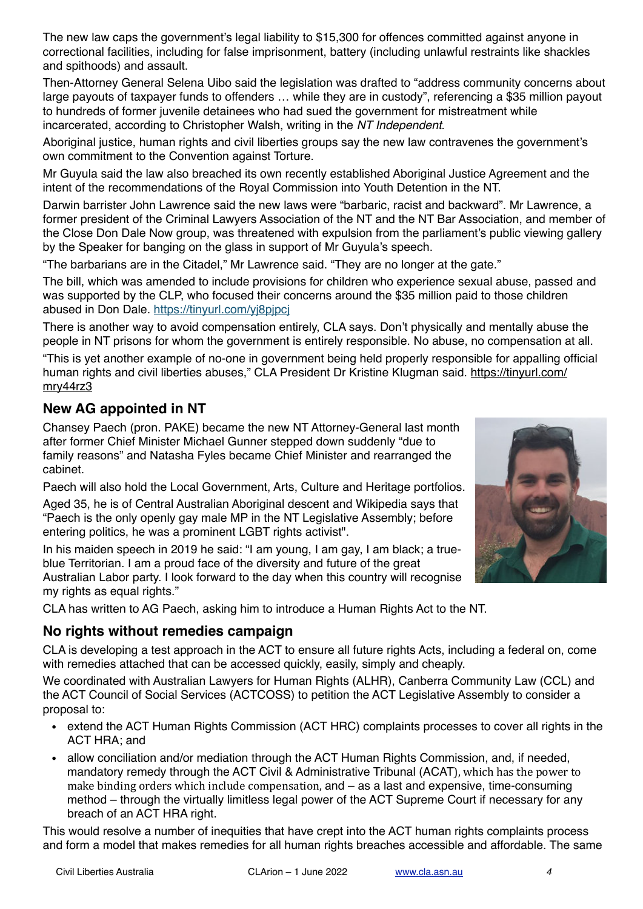The new law caps the government's legal liability to \$15,300 for offences committed against anyone in correctional facilities, including for false imprisonment, battery (including unlawful restraints like shackles and spithoods) and assault.

Then-Attorney General Selena Uibo said the legislation was drafted to "address community concerns about large payouts of taxpayer funds to offenders … while they are in custody", referencing a \$35 million payout to hundreds of former juvenile detainees who had sued the government for mistreatment while incarcerated, according to Christopher Walsh, writing in the *NT Independent*.

Aboriginal justice, human rights and civil liberties groups say the new law contravenes the government's own commitment to the Convention against Torture.

Mr Guyula said the law also breached its own recently established Aboriginal Justice Agreement and the intent of the recommendations of the Royal Commission into Youth Detention in the NT.

Darwin barrister John Lawrence said the new laws were "barbaric, racist and backward". Mr Lawrence, a former president of the Criminal Lawyers Association of the NT and the NT Bar Association, and member of the Close Don Dale Now group, was threatened with expulsion from the parliament's public viewing gallery by the Speaker for banging on the glass in support of Mr Guyula's speech.

"The barbarians are in the Citadel," Mr Lawrence said. "They are no longer at the gate."

The bill, which was amended to include provisions for children who experience sexual abuse, passed and was supported by the CLP, who focused their concerns around the \$35 million paid to those children abused in Don Dale.<https://tinyurl.com/yj8pjpcj>

There is another way to avoid compensation entirely, CLA says. Don't physically and mentally abuse the people in NT prisons for whom the government is entirely responsible. No abuse, no compensation at all.

"This is yet another example of no-one in government being held properly responsible for appalling official human rights and civil liberties abuses," CLA President Dr Kristine Klugman said. [https://tinyurl.com/](https://tinyurl.com/mry44rz3) [mry44rz3](https://tinyurl.com/mry44rz3)

# **New AG appointed in NT**

Chansey Paech (pron. PAKE) became the new NT Attorney-General last month after former Chief Minister Michael Gunner stepped down suddenly "due to family reasons" and Natasha Fyles became Chief Minister and rearranged the cabinet.

Paech will also hold the Local Government, Arts, Culture and Heritage portfolios.

Aged 35, he is of Central Australian Aboriginal descent and Wikipedia says that "Paech is the only openly gay male MP in the NT Legislative Assembly; before entering politics, he was a prominent [LGBT rights activist](https://en.wikipedia.org/wiki/LGBT_rights_in_Australia)".

In his maiden speech in 2019 he said: "I am young, I am gay, I am black; a trueblue Territorian. I am a proud face of the diversity and future of the great Australian Labor party. I look forward to the day when this country will recognise my rights as equal rights."

CLA has written to AG Paech, asking him to introduce a Human Rights Act to the NT.

# **No rights without remedies campaign**

CLA is developing a test approach in the ACT to ensure all future rights Acts, including a federal on, come with remedies attached that can be accessed quickly, easily, simply and cheaply.

We coordinated with Australian Lawyers for Human Rights (ALHR), Canberra Community Law (CCL) and the ACT Council of Social Services (ACTCOSS) to petition the ACT Legislative Assembly to consider a proposal to:

- extend the ACT Human Rights Commission (ACT HRC) complaints processes to cover all rights in the ACT HRA; and
- allow conciliation and/or mediation through the ACT Human Rights Commission, and, if needed, mandatory remedy through the ACT Civil & Administrative Tribunal (ACAT), which has the power to make binding orders which include compensation,  $and - as a$  last and expensive, time-consuming method – through the virtually limitless legal power of the ACT Supreme Court if necessary for any breach of an ACT HRA right.

This would resolve a number of inequities that have crept into the ACT human rights complaints process and form a model that makes remedies for all human rights breaches accessible and affordable. The same

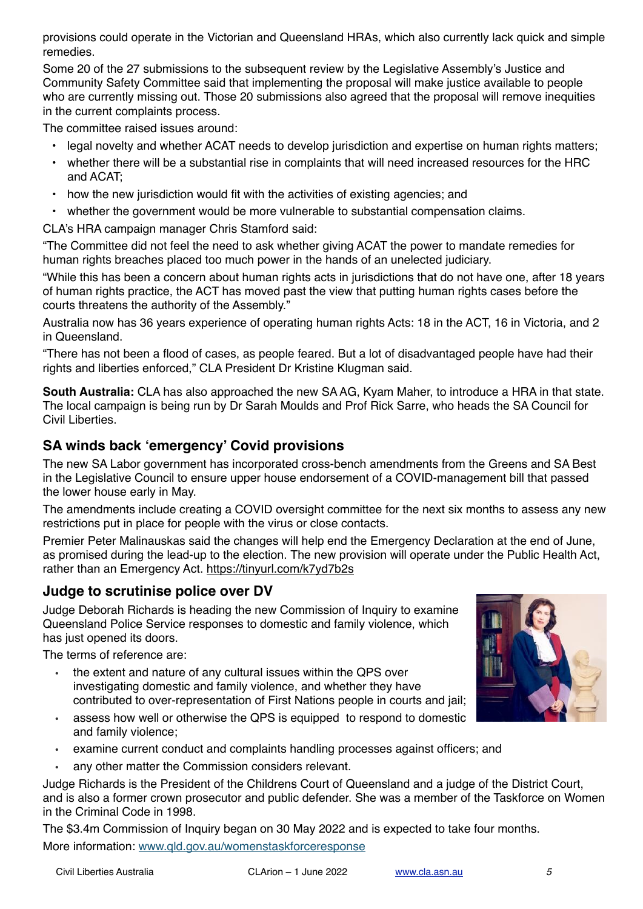provisions could operate in the Victorian and Queensland HRAs, which also currently lack quick and simple remedies.

Some 20 of the 27 submissions to the subsequent review by the Legislative Assembly's Justice and Community Safety Committee said that implementing the proposal will make justice available to people who are currently missing out. Those 20 submissions also agreed that the proposal will remove inequities in the current complaints process.

The committee raised issues around:

- legal novelty and whether ACAT needs to develop jurisdiction and expertise on human rights matters;
- whether there will be a substantial rise in complaints that will need increased resources for the HRC and ACAT;
- how the new jurisdiction would fit with the activities of existing agencies; and
- whether the government would be more vulnerable to substantial compensation claims.

CLA's HRA campaign manager Chris Stamford said:

"The Committee did not feel the need to ask whether giving ACAT the power to mandate remedies for human rights breaches placed too much power in the hands of an unelected judiciary.

"While this has been a concern about human rights acts in jurisdictions that do not have one, after 18 years of human rights practice, the ACT has moved past the view that putting human rights cases before the courts threatens the authority of the Assembly."

Australia now has 36 years experience of operating human rights Acts: 18 in the ACT, 16 in Victoria, and 2 in Queensland.

"There has not been a flood of cases, as people feared. But a lot of disadvantaged people have had their rights and liberties enforced," CLA President Dr Kristine Klugman said.

**South Australia:** CLA has also approached the new SA AG, Kyam Maher, to introduce a HRA in that state. The local campaign is being run by Dr Sarah Moulds and Prof Rick Sarre, who heads the SA Council for Civil Liberties.

### **SA winds back 'emergency' Covid provisions**

The new SA Labor government has incorporated cross-bench amendments from the Greens and SA Best in the Legislative Council to ensure upper house endorsement of a COVID-management bill that passed the lower house early in May.

The amendments include creating a COVID oversight committee for the next six months to assess any new restrictions put in place for people with the virus or close contacts.

Premier Peter Malinauskas said the changes will help end the Emergency Declaration at the end of June, as promised during the lead-up to the election. The new provision will operate under the Public Health Act, rather than an Emergency Act.<https://tinyurl.com/k7yd7b2s>

#### **Judge to scrutinise police over DV**

Judge Deborah Richards is heading the new Commission of Inquiry to examine Queensland Police Service responses to domestic and family violence, which has just opened its doors.

The terms of reference are:

- the extent and nature of any cultural issues within the QPS over investigating domestic and family violence, and whether they have contributed to over-representation of First Nations people in courts and jail;
- assess how well or otherwise the QPS is equipped to respond to domestic and family violence;
- examine current conduct and complaints handling processes against officers; and
- any other matter the Commission considers relevant.

Judge Richards is the President of the Childrens Court of Queensland and a judge of the District Court, and is also a former crown prosecutor and public defender. She was a member of the Taskforce on Women in the Criminal Code in 1998.

The \$3.4m Commission of Inquiry began on 30 May 2022 and is expected to take four months. More information: [www.qld.gov.au/womenstaskforceresponse](http://www.qld.gov.au/womenstaskforceresponse)

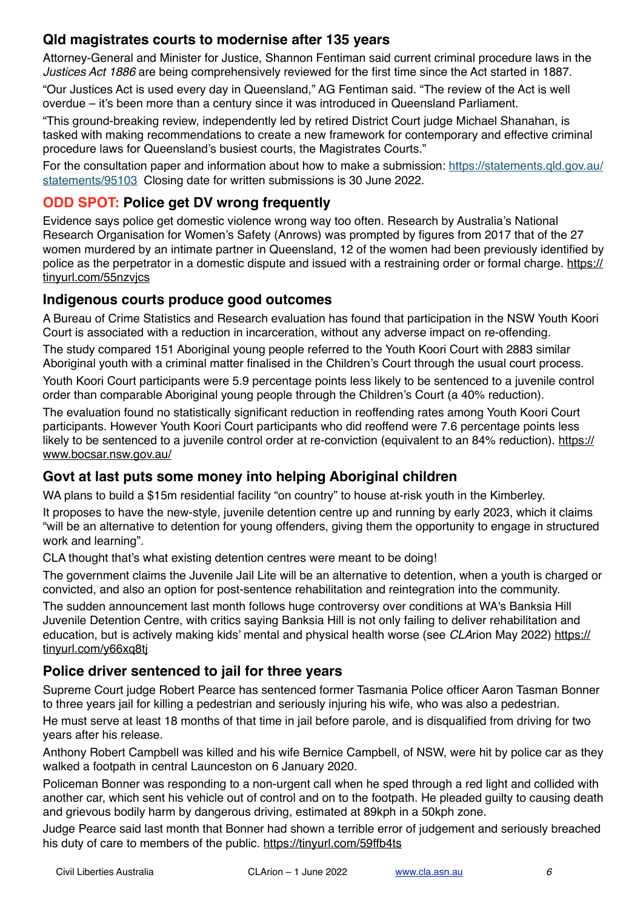# **Qld magistrates courts to modernise after 135 years**

Attorney-General and Minister for Justice, Shannon Fentiman said current criminal procedure laws in the *Justices Act 1886* are being comprehensively reviewed for the first time since the Act started in 1887.

"Our Justices Act is used every day in Queensland," AG Fentiman said. "The review of the Act is well overdue – it's been more than a century since it was introduced in Queensland Parliament.

"This ground-breaking review, independently led by retired District Court judge Michael Shanahan, is tasked with making recommendations to create a new framework for contemporary and effective criminal procedure laws for Queensland's busiest courts, the Magistrates Courts."

For the consultation paper and information about how to make a submission: [https://statements.qld.gov.au/](https://statements.qld.gov.au/statements/95103) [statements/95103](https://statements.qld.gov.au/statements/95103) Closing date for written submissions is 30 June 2022.

### **ODD SPOT: Police get DV wrong frequently**

Evidence says police get domestic violence wrong way too often. Research by Australia's National Research Organisation for Women's Safety (Anrows) was prompted by figures from 2017 that of the 27 women murdered by an intimate partner in Queensland, 12 of the women had been previously identified by police as the perpetrator in a domestic dispute and issued with a restraining order or formal charge. [https://](https://tinyurl.com/55nzvjcs) [tinyurl.com/55nzvjcs](https://tinyurl.com/55nzvjcs)

#### **Indigenous courts produce good outcomes**

A Bureau of Crime Statistics and Research evaluation has found that participation in the NSW Youth Koori Court is associated with a reduction in incarceration, without any adverse impact on re-offending.

The study compared 151 Aboriginal young people referred to the Youth Koori Court with 2883 similar Aboriginal youth with a criminal matter finalised in the Children's Court through the usual court process.

Youth Koori Court participants were 5.9 percentage points less likely to be sentenced to a juvenile control order than comparable Aboriginal young people through the Children's Court (a 40% reduction).

The evaluation found no statistically significant reduction in reoffending rates among Youth Koori Court participants. However Youth Koori Court participants who did reoffend were 7.6 percentage points less likely to be sentenced to a juvenile control order at re-conviction (equivalent to an 84% reduction). [https://](https://www.bocsar.nsw.gov.au/) [www.bocsar.nsw.gov.au/](https://www.bocsar.nsw.gov.au/)

# **Govt at last puts some money into helping Aboriginal children**

WA plans to build a \$15m residential facility "on country" to house at-risk youth in the Kimberley.

It proposes to have the new-style, juvenile detention centre up and running by early 2023, which it claims "will be an alternative to detention for young offenders, giving them the opportunity to engage in structured work and learning".

CLA thought that's what existing detention centres were meant to be doing!

The government claims the Juvenile Jail Lite will be an alternative to detention, when a youth is charged or convicted, and also an option for post-sentence rehabilitation and reintegration into the community.

The sudden announcement last month follows huge controversy over conditions at WA's Banksia Hill Juvenile Detention Centre, with critics saying Banksia Hill is not only failing to deliver rehabilitation and education, but is actively making kids' mental and physical health worse (see *CLA*rion May 2022) [https://](https://tinyurl.com/y66xq8tj) [tinyurl.com/y66xq8tj](https://tinyurl.com/y66xq8tj)

# **Police driver sentenced to jail for three years**

Supreme Court judge Robert Pearce has sentenced former Tasmania Police officer Aaron Tasman Bonner to three years jail for killing a pedestrian and seriously injuring his wife, who was also a pedestrian.

He must serve at least 18 months of that time in jail before parole, and is disqualified from driving for two years after his release.

Anthony Robert Campbell was killed and his wife Bernice Campbell, of NSW, were hit by police car as they walked a footpath in central Launceston on 6 January 2020.

Policeman Bonner was responding to a non-urgent call when he sped through a red light and collided with another car, which sent his vehicle out of control and on to the footpath. He pleaded guilty to causing death and grievous bodily harm by dangerous driving, estimated at 89kph in a 50kph zone.

Judge Pearce said last month that Bonner had shown a terrible error of judgement and seriously breached his duty of care to members of the public. <https://tinyurl.com/59ffb4ts>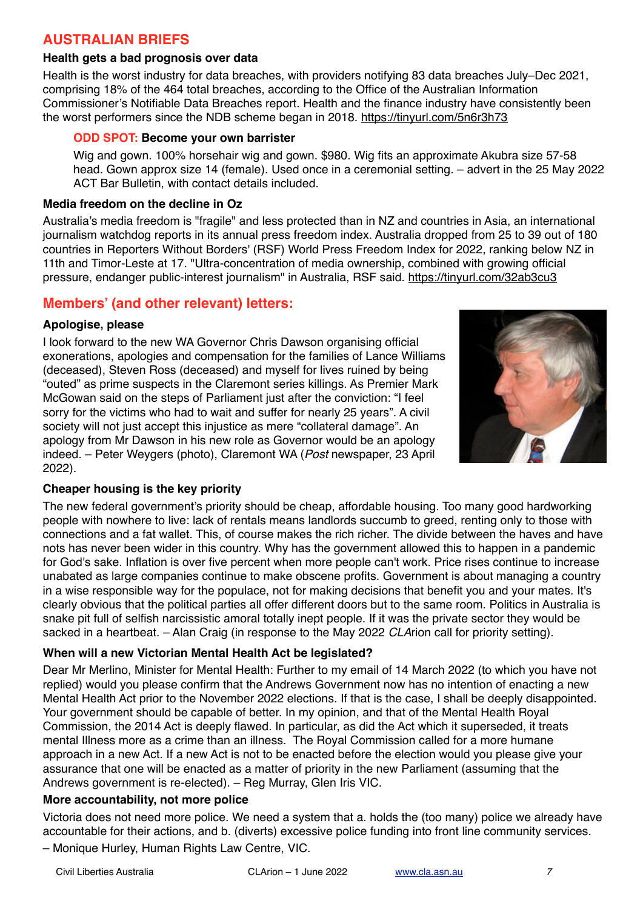### **AUSTRALIAN BRIEFS**

#### **Health gets a bad prognosis over data**

Health is the worst industry for data breaches, with providers notifying 83 data breaches July–Dec 2021, comprising 18% of the 464 total breaches, according to the Office of the Australian Information Commissioner's Notifiable Data Breaches report. Health and the finance industry have consistently been the worst performers since the NDB scheme began in 2018.<https://tinyurl.com/5n6r3h73>

#### **ODD SPOT: Become your own barrister**

Wig and gown. 100% horsehair wig and gown. \$980. Wig fits an approximate Akubra size 57-58 head. Gown approx size 14 (female). Used once in a ceremonial setting. – advert in the 25 May 2022 ACT Bar Bulletin, with contact details included.

#### **Media freedom on the decline in Oz**

Australia's media freedom is "fragile" and less protected than in NZ and countries in Asia, an international journalism watchdog reports in its annual press freedom index. Australia dropped from 25 to 39 out of 180 countries in Reporters Without Borders' (RSF) World Press Freedom Index for 2022, ranking below NZ in 11th and Timor-Leste at 17. "Ultra-concentration of media ownership, combined with growing official pressure, endanger public-interest journalism" in Australia, RSF said.<https://tinyurl.com/32ab3cu3>

#### **Members' (and other relevant) letters:**

#### **Apologise, please**

I look forward to the new WA Governor Chris Dawson organising official exonerations, apologies and compensation for the families of Lance Williams (deceased), Steven Ross (deceased) and myself for lives ruined by being "outed" as prime suspects in the Claremont series killings. As Premier Mark McGowan said on the steps of Parliament just after the conviction: "I feel sorry for the victims who had to wait and suffer for nearly 25 years". A civil society will not just accept this injustice as mere "collateral damage". An apology from Mr Dawson in his new role as Governor would be an apology indeed. – Peter Weygers (photo), Claremont WA (*Post* newspaper, 23 April 2022).



#### **Cheaper housing is the key priority**

The new federal government's priority should be cheap, affordable housing. Too many good hardworking people with nowhere to live: lack of rentals means landlords succumb to greed, renting only to those with connections and a fat wallet. This, of course makes the rich richer. The divide between the haves and have nots has never been wider in this country. Why has the government allowed this to happen in a pandemic for God's sake. Inflation is over five percent when more people can't work. Price rises continue to increase unabated as large companies continue to make obscene profits. Government is about managing a country in a wise responsible way for the populace, not for making decisions that benefit you and your mates. It's clearly obvious that the political parties all offer different doors but to the same room. Politics in Australia is snake pit full of selfish narcissistic amoral totally inept people. If it was the private sector they would be sacked in a heartbeat. – Alan Craig (in response to the May 2022 *CLA*rion call for priority setting).

#### **When will a new Victorian Mental Health Act be legislated?**

Dear Mr Merlino, Minister for Mental Health: Further to my email of 14 March 2022 (to which you have not replied) would you please confirm that the Andrews Government now has no intention of enacting a new Mental Health Act prior to the November 2022 elections. If that is the case, I shall be deeply disappointed. Your government should be capable of better. In my opinion, and that of the Mental Health Royal Commission, the 2014 Act is deeply flawed. In particular, as did the Act which it superseded, it treats mental Illness more as a crime than an illness. The Royal Commission called for a more humane approach in a new Act. If a new Act is not to be enacted before the election would you please give your assurance that one will be enacted as a matter of priority in the new Parliament (assuming that the Andrews government is re-elected). – Reg Murray, Glen Iris VIC.

#### **More accountability, not more police**

Victoria does not need more police. We need a system that a. holds the (too many) police we already have accountable for their actions, and b. (diverts) excessive police funding into front line community services.

– Monique Hurley, Human Rights Law Centre, VIC.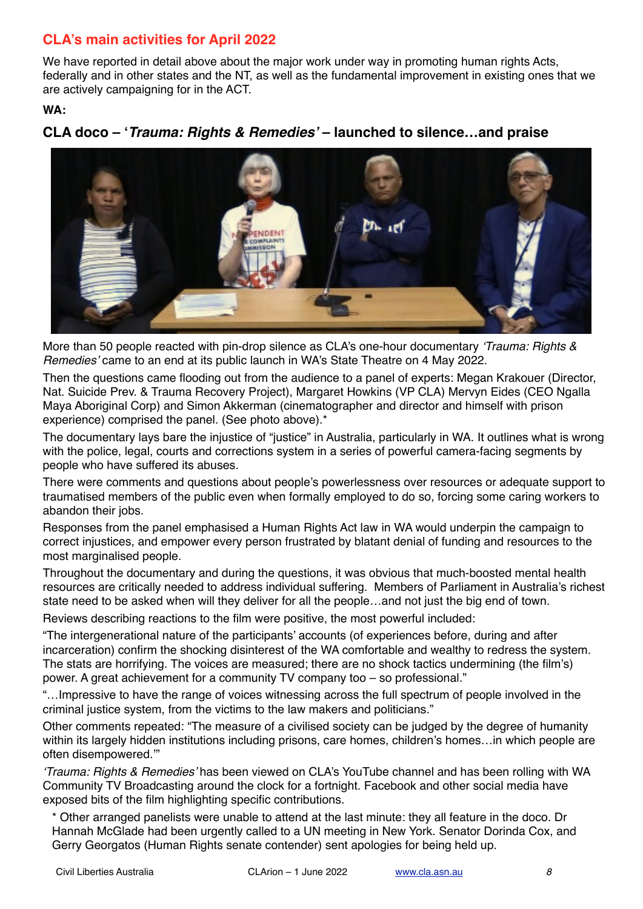# **CLA's main activities for April 2022**

We have reported in detail above about the major work under way in promoting human rights Acts, federally and in other states and the NT, as well as the fundamental improvement in existing ones that we are actively campaigning for in the ACT.

**WA:**

# **CLA doco – '***Trauma: Rights & Remedies'* **– launched to silence…and praise**



More than 50 people reacted with pin-drop silence as CLA's one-hour documentary *'Trauma: Rights & Remedies'* came to an end at its public launch in WA's State Theatre on 4 May 2022.

Then the questions came flooding out from the audience to a panel of experts: Megan Krakouer (Director, Nat. Suicide Prev. & Trauma Recovery Project), Margaret Howkins (VP CLA) Mervyn Eides (CEO Ngalla Maya Aboriginal Corp) and Simon Akkerman (cinematographer and director and himself with prison experience) comprised the panel. (See photo above).\*

The documentary lays bare the injustice of "justice" in Australia, particularly in WA. It outlines what is wrong with the police, legal, courts and corrections system in a series of powerful camera-facing segments by people who have suffered its abuses.

There were comments and questions about people's powerlessness over resources or adequate support to traumatised members of the public even when formally employed to do so, forcing some caring workers to abandon their jobs.

Responses from the panel emphasised a Human Rights Act law in WA would underpin the campaign to correct injustices, and empower every person frustrated by blatant denial of funding and resources to the most marginalised people.

Throughout the documentary and during the questions, it was obvious that much-boosted mental health resources are critically needed to address individual suffering. Members of Parliament in Australia's richest state need to be asked when will they deliver for all the people…and not just the big end of town.

Reviews describing reactions to the film were positive, the most powerful included:

"The intergenerational nature of the participants' accounts (of experiences before, during and after incarceration) confirm the shocking disinterest of the WA comfortable and wealthy to redress the system. The stats are horrifying. The voices are measured; there are no shock tactics undermining (the film's) power. A great achievement for a community TV company too – so professional."

"…Impressive to have the range of voices witnessing across the full spectrum of people involved in the criminal justice system, from the victims to the law makers and politicians."

Other comments repeated: "The measure of a civilised society can be judged by the degree of humanity within its largely hidden institutions including prisons, care homes, children's homes…in which people are often disempowered.'"

*'Trauma: Rights & Remedies'* has been viewed on CLA's YouTube channel and has been rolling with WA Community TV Broadcasting around the clock for a fortnight. Facebook and other social media have exposed bits of the film highlighting specific contributions.

\* Other arranged panelists were unable to attend at the last minute: they all feature in the doco. Dr Hannah McGlade had been urgently called to a UN meeting in New York. Senator Dorinda Cox, and Gerry Georgatos (Human Rights senate contender) sent apologies for being held up.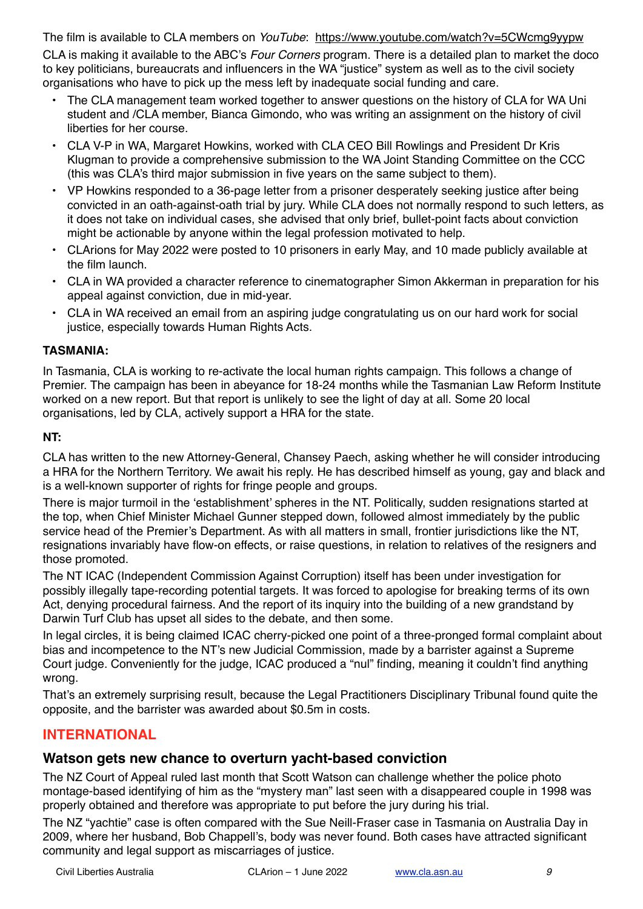The film is available to CLA members on *YouTube*: <https://www.youtube.com/watch?v=5CWcmg9yypw> CLA is making it available to the ABC's *Four Corners* program. There is a detailed plan to market the doco to key politicians, bureaucrats and influencers in the WA "justice" system as well as to the civil society organisations who have to pick up the mess left by inadequate social funding and care.

- The CLA management team worked together to answer questions on the history of CLA for WA Uni student and /CLA member, Bianca Gimondo, who was writing an assignment on the history of civil liberties for her course.
- CLA V-P in WA, Margaret Howkins, worked with CLA CEO Bill Rowlings and President Dr Kris Klugman to provide a comprehensive submission to the WA Joint Standing Committee on the CCC (this was CLA's third major submission in five years on the same subject to them).
- VP Howkins responded to a 36-page letter from a prisoner desperately seeking justice after being convicted in an oath-against-oath trial by jury. While CLA does not normally respond to such letters, as it does not take on individual cases, she advised that only brief, bullet-point facts about conviction might be actionable by anyone within the legal profession motivated to help.
- CLArions for May 2022 were posted to 10 prisoners in early May, and 10 made publicly available at the film launch.
- CLA in WA provided a character reference to cinematographer Simon Akkerman in preparation for his appeal against conviction, due in mid-year.
- CLA in WA received an email from an aspiring judge congratulating us on our hard work for social justice, especially towards Human Rights Acts.

#### **TASMANIA:**

In Tasmania, CLA is working to re-activate the local human rights campaign. This follows a change of Premier. The campaign has been in abeyance for 18-24 months while the Tasmanian Law Reform Institute worked on a new report. But that report is unlikely to see the light of day at all. Some 20 local organisations, led by CLA, actively support a HRA for the state.

#### **NT:**

CLA has written to the new Attorney-General, Chansey Paech, asking whether he will consider introducing a HRA for the Northern Territory. We await his reply. He has described himself as young, gay and black and is a well-known supporter of rights for fringe people and groups.

There is major turmoil in the 'establishment' spheres in the NT. Politically, sudden resignations started at the top, when Chief Minister Michael Gunner stepped down, followed almost immediately by the public service head of the Premier's Department. As with all matters in small, frontier jurisdictions like the NT, resignations invariably have flow-on effects, or raise questions, in relation to relatives of the resigners and those promoted.

The NT ICAC (Independent Commission Against Corruption) itself has been under investigation for possibly illegally tape-recording potential targets. It was forced to apologise for breaking terms of its own Act, denying procedural fairness. And the report of its inquiry into the building of a new grandstand by Darwin Turf Club has upset all sides to the debate, and then some.

In legal circles, it is being claimed ICAC cherry-picked one point of a three-pronged formal complaint about bias and incompetence to the NT's new Judicial Commission, made by a barrister against a Supreme Court judge. Conveniently for the judge, ICAC produced a "nul" finding, meaning it couldn't find anything wrong.

That's an extremely surprising result, because the Legal Practitioners Disciplinary Tribunal found quite the opposite, and the barrister was awarded about \$0.5m in costs.

# **INTERNATIONAL**

#### **Watson gets new chance to overturn yacht-based conviction**

The NZ Court of Appeal ruled last month that Scott Watson can challenge whether the police photo montage-based identifying of him as the "mystery man" last seen with a disappeared couple in 1998 was properly obtained and therefore was appropriate to put before the jury during his trial.

The NZ "yachtie" case is often compared with the Sue Neill-Fraser case in Tasmania on Australia Day in 2009, where her husband, Bob Chappell's, body was never found. Both cases have attracted significant community and legal support as miscarriages of justice.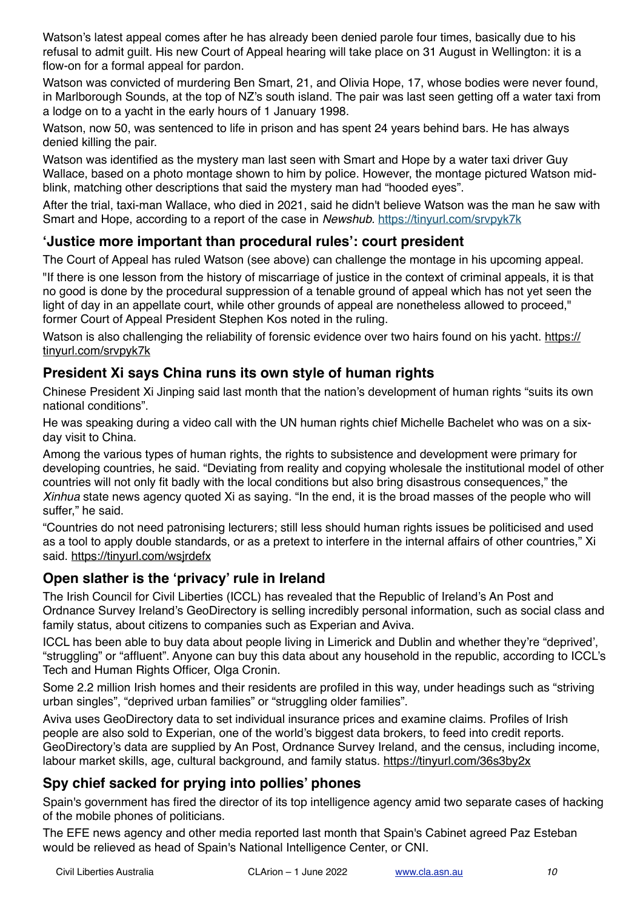Watson's latest appeal comes after he has already been denied parole four times, basically due to his refusal to admit guilt. His new Court of Appeal hearing will take place on 31 August in Wellington: it is a flow-on for a formal appeal for pardon.

Watson was convicted of murdering Ben Smart, 21, and Olivia Hope, 17, whose bodies were never found, in Marlborough Sounds, at the top of NZ's south island. The pair was last seen getting off a water taxi from a lodge on to a yacht in the early hours of 1 January 1998.

Watson, now 50, was sentenced to life in prison and has spent 24 years behind bars. He has always denied killing the pair.

Watson was identified as the mystery man last seen with Smart and Hope by a water taxi driver Guy Wallace, based on a photo montage shown to him by police. However, the montage pictured Watson midblink, matching other descriptions that said the mystery man had "hooded eyes".

After the trial, taxi-man Wallace, who died in 2021, said he didn't believe Watson was the man he saw with Smart and Hope, according to a report of the case in *Newshub.* <https://tinyurl.com/srvpyk7k>

# **'Justice more important than procedural rules': court president**

The Court of Appeal has ruled Watson (see above) can challenge the montage in his upcoming appeal.

"If there is one lesson from the history of miscarriage of justice in the context of criminal appeals, it is that no good is done by the procedural suppression of a tenable ground of appeal which has not yet seen the light of day in an appellate court, while other grounds of appeal are nonetheless allowed to proceed," former Court of Appeal President Stephen Kos noted in the ruling.

Watson is also challenging the reliability of forensic evidence over two hairs found on his yacht. [https://](https://tinyurl.com/srvpyk7k) [tinyurl.com/srvpyk7k](https://tinyurl.com/srvpyk7k)

### **President Xi says China runs its own style of human rights**

Chinese President Xi Jinping said last month that the nation's development of human rights "suits its own national conditions".

He was speaking during a video call with the UN human rights chief Michelle Bachelet who was on a sixday visit to China.

Among the various types of human rights, the rights to subsistence and development were primary for developing countries, he said. "Deviating from reality and copying wholesale the institutional model of other countries will not only fit badly with the local conditions but also bring disastrous consequences," the *Xinhua* state news agency quoted Xi as saying. "In the end, it is the broad masses of the people who will suffer," he said.

"Countries do not need patronising lecturers; still less should human rights issues be politicised and used as a tool to apply double standards, or as a pretext to interfere in the internal affairs of other countries," Xi said. <https://tinyurl.com/wsjrdefx>

# **Open slather is the 'privacy' rule in Ireland**

The Irish Council for Civil Liberties (ICCL) has revealed that the Republic of Ireland's An Post and Ordnance Survey Ireland's GeoDirectory is selling incredibly personal information, such as social class and family status, about citizens to companies such as Experian and Aviva.

ICCL has been able to buy data about people living in Limerick and Dublin and whether they're "deprived', "struggling" or "affluent". Anyone can buy this data about any household in the republic, according to ICCL's Tech and Human Rights Officer, Olga Cronin.

Some 2.2 million Irish homes and their residents are profiled in this way, under headings such as "striving urban singles", "deprived urban families" or "struggling older families".

Aviva uses GeoDirectory data to set individual insurance prices and examine claims. Profiles of Irish people are also sold to Experian, one of the world's biggest data brokers, to feed into credit reports. GeoDirectory's data are supplied by An Post, Ordnance Survey Ireland, and the census, including income, labour market skills, age, cultural background, and family status. <https://tinyurl.com/36s3by2x>

# **Spy chief sacked for prying into pollies' phones**

Spain's government has fired the director of its top intelligence agency amid two separate cases of hacking of the mobile phones of politicians.

The EFE news agency and other media reported last month that Spain's Cabinet agreed Paz Esteban would be relieved as head of Spain's National Intelligence Center, or CNI.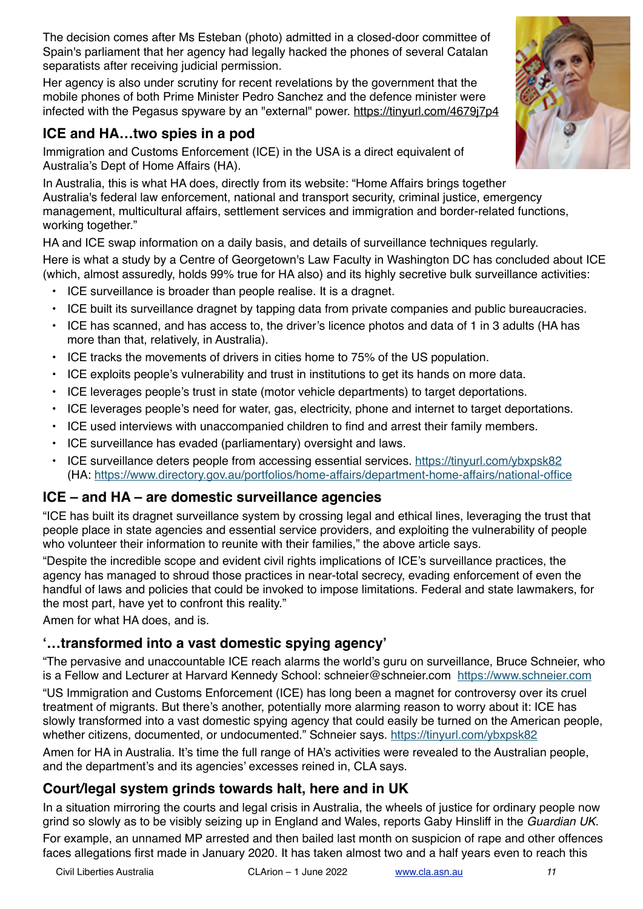The decision comes after Ms Esteban (photo) admitted in a closed-door committee of Spain's parliament that her agency had legally hacked the phones of several Catalan separatists after receiving judicial permission.

Her agency is also under scrutiny for recent revelations by the government that the mobile phones of both Prime Minister Pedro Sanchez and the defence minister were infected with the Pegasus spyware by an "external" power. <https://tinyurl.com/4679j7p4>

# **ICE and HA…two spies in a pod**

Immigration and Customs Enforcement (ICE) in the USA is a direct equivalent of Australia's Dept of Home Affairs (HA).

In Australia, this is what HA does, directly from its website: "Home Affairs brings together Australia's federal law enforcement, national and transport security, criminal justice, emergency management, multicultural affairs, settlement services and immigration and border-related functions, working together."

HA and ICE swap information on a daily basis, and details of surveillance techniques regularly. Here is what a study by a Centre of Georgetown's Law Faculty in Washington DC has concluded about ICE (which, almost assuredly, holds 99% true for HA also) and its highly secretive bulk surveillance activities:

- ICE surveillance is broader than people realise. It is a dragnet.
- ICE built its surveillance dragnet by tapping data from private companies and public bureaucracies.
- ICE has scanned, and has access to, the driver's licence photos and data of 1 in 3 adults (HA has more than that, relatively, in Australia).
- ICE tracks the movements of drivers in cities home to 75% of the US population.
- ICE exploits people's vulnerability and trust in institutions to get its hands on more data.
- ICE leverages people's trust in state (motor vehicle departments) to target deportations.
- ICE leverages people's need for water, gas, electricity, phone and internet to target deportations.
- ICE used interviews with unaccompanied children to find and arrest their family members.
- ICE surveillance has evaded (parliamentary) oversight and laws.
- ICE surveillance deters people from accessing essential services. <https://tinyurl.com/ybxpsk82> (HA:<https://www.directory.gov.au/portfolios/home-affairs/department-home-affairs/national-office>

# **ICE – and HA – are domestic surveillance agencies**

"ICE has built its dragnet surveillance system by crossing legal and ethical lines, leveraging the trust that people place in state agencies and essential service providers, and exploiting the vulnerability of people who volunteer their information to reunite with their families," the above article says.

"Despite the incredible scope and evident civil rights implications of ICE's surveillance practices, the agency has managed to shroud those practices in near-total secrecy, evading enforcement of even the handful of laws and policies that could be invoked to impose limitations. Federal and state lawmakers, for the most part, have yet to confront this reality."

Amen for what HA does, and is.

# **'…transformed into a vast domestic spying agency'**

"The pervasive and unaccountable ICE reach alarms the world's guru on surveillance, Bruce Schneier, who is a Fellow and Lecturer at Harvard Kennedy School: schneier@schneier.com <https://www.schneier.com>

"US Immigration and Customs Enforcement (ICE) has long been a magnet for controversy over its cruel treatment of migrants. But there's another, potentially more alarming reason to worry about it: ICE has slowly transformed into a vast domestic spying agency that could easily be turned on the American people, whether citizens, documented, or undocumented." Schneier says. <https://tinyurl.com/ybxpsk82>

Amen for HA in Australia. It's time the full range of HA's activities were revealed to the Australian people, and the department's and its agencies' excesses reined in, CLA says.

# **Court/legal system grinds towards halt, here and in UK**

In a situation mirroring the courts and legal crisis in Australia, the wheels of justice for ordinary people now grind so slowly as to be visibly seizing up in England and Wales, reports Gaby Hinsliff in the *Guardian UK*. For example, an unnamed MP arrested and then bailed last month on suspicion of rape and other offences faces allegations first made in January 2020. It has taken almost two and a half years even to reach this



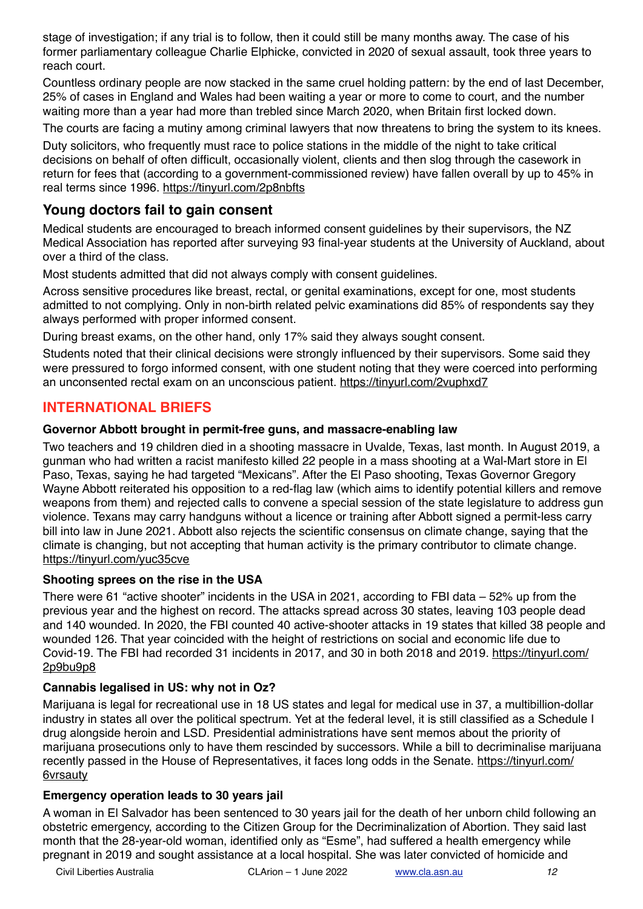stage of investigation; if any trial is to follow, then it could still be many months away. The case of his former parliamentary colleague Charlie Elphicke, convicted in 2020 of sexual assault, took three years to reach court.

Countless ordinary people are now stacked in the same cruel holding pattern: by the end of last December, 25% of cases in England and Wales had been waiting a year or more to come to court, and the number waiting more than a year had more than trebled since March 2020, when Britain first locked down.

The courts are facing a mutiny among criminal lawyers that now threatens to bring the system to its knees.

Duty solicitors, who frequently must race to police stations in the middle of the night to take critical decisions on behalf of often difficult, occasionally violent, clients and then slog through the casework in return for fees that (according to a government-commissioned review) have fallen overall by up to 45% in real terms since 1996. <https://tinyurl.com/2p8nbfts>

### **Young doctors fail to gain consent**

Medical students are encouraged to breach informed consent guidelines by their supervisors, the NZ Medical Association has reported after surveying 93 final-year students at the University of Auckland, about over a third of the class.

Most students admitted that did not always comply with consent guidelines.

Across sensitive procedures like breast, rectal, or genital examinations, except for one, most students admitted to not complying. Only in non-birth related pelvic examinations did 85% of respondents say they always performed with proper informed consent.

During breast exams, on the other hand, only 17% said they always sought consent.

Students noted that their clinical decisions were strongly influenced by their supervisors. Some said they were pressured to forgo informed consent, with one student noting that they were coerced into performing an unconsented rectal exam on an unconscious patient. <https://tinyurl.com/2vuphxd7>

### **INTERNATIONAL BRIEFS**

#### **Governor Abbott brought in permit-free guns, and massacre-enabling law**

Two teachers and 19 children died in a shooting massacre in Uvalde, Texas, last month. In August 2019, a gunman who had written a racist manifesto killed 22 people in a mass shooting at a Wal-Mart store in El Paso, Texas, saying he had targeted "Mexicans". After the El Paso shooting, Texas Governor Gregory Wayne Abbott reiterated his opposition to a red-flag law (which aims to identify potential killers and remove weapons from them) and rejected calls to convene a special session of the state legislature to address gun violence. Texans may carry handguns without a licence or training after Abbott signed a permit-less carry bill into law in June 2021. Abbott also rejects the scientific consensus on climate change, saying that the climate is changing, but not accepting that human activity is the primary contributor to climate change. <https://tinyurl.com/yuc35cve>

#### **Shooting sprees on the rise in the USA**

There were 61 "active shooter" incidents in the USA in 2021, according to FBI data – 52% up from the previous year and the highest on record. The attacks spread across 30 states, leaving 103 people dead and 140 wounded. In 2020, the FBI counted 40 active-shooter attacks in 19 states that killed 38 people and wounded 126. That year coincided with the height of restrictions on social and economic life due to Covid-19. The FBI had recorded 31 incidents in 2017, and 30 in both 2018 and 2019. [https://tinyurl.com/](https://tinyurl.com/2p9bu9p8) [2p9bu9p8](https://tinyurl.com/2p9bu9p8)

#### **Cannabis legalised in US: why not in Oz?**

Marijuana is legal for recreational use in 18 US states and legal for medical use in 37, a multibillion-dollar industry in states all over the political spectrum. Yet at the federal level, it is still classified as a Schedule I drug alongside heroin and LSD. Presidential administrations have sent memos about the priority of marijuana prosecutions only to have them rescinded by successors. While a bill to decriminalise marijuana recently passed in the House of Representatives, it faces long odds in the Senate. [https://tinyurl.com/](https://tinyurl.com/6vrsauty) [6vrsauty](https://tinyurl.com/6vrsauty)

#### **Emergency operation leads to 30 years jail**

A woman in El Salvador has been sentenced to 30 years jail for the death of her unborn child following an obstetric emergency, according to the Citizen Group for the Decriminalization of Abortion. They said last month that the 28-year-old woman, identified only as "Esme", had suffered a health emergency while pregnant in 2019 and sought assistance at a local hospital. She was later convicted of homicide and